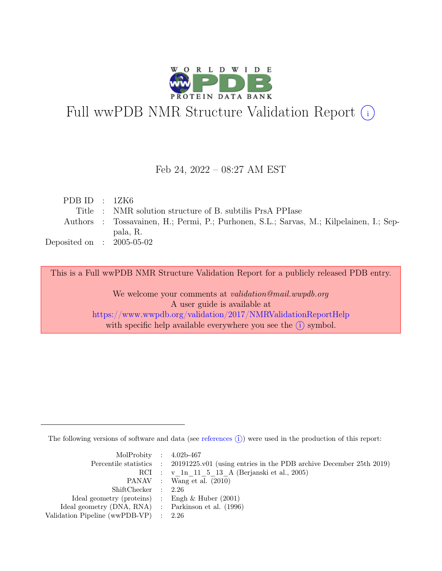

# Full wwPDB NMR Structure Validation Report (i)

## Feb 24, 2022 – 08:27 AM EST

| PDB ID : $12K6$             |                                                                                         |
|-----------------------------|-----------------------------------------------------------------------------------------|
|                             | Title : NMR solution structure of B. subtilis PrsA PPIase                               |
|                             | Authors : Tossavainen, H.; Permi, P.; Purhonen, S.L.; Sarvas, M.; Kilpelainen, I.; Sep- |
|                             | pala, R.                                                                                |
| Deposited on : $2005-05-02$ |                                                                                         |

This is a Full wwPDB NMR Structure Validation Report for a publicly released PDB entry.

We welcome your comments at *validation@mail.wwpdb.org* A user guide is available at <https://www.wwpdb.org/validation/2017/NMRValidationReportHelp> with specific help available everywhere you see the  $(i)$  symbol.

The following versions of software and data (see [references](https://www.wwpdb.org/validation/2017/NMRValidationReportHelp#references)  $\hat{I}$ ) were used in the production of this report:

| MolProbity : $4.02b-467$                            |                                                                                            |
|-----------------------------------------------------|--------------------------------------------------------------------------------------------|
|                                                     | Percentile statistics : 20191225.v01 (using entries in the PDB archive December 25th 2019) |
|                                                     | RCI : v 1n 11 5 13 A (Berjanski et al., 2005)                                              |
|                                                     | PANAV : Wang et al. (2010)                                                                 |
| ShiftChecker : 2.26                                 |                                                                                            |
| Ideal geometry (proteins) : Engh $\&$ Huber (2001)  |                                                                                            |
| Ideal geometry (DNA, RNA) : Parkinson et al. (1996) |                                                                                            |
| Validation Pipeline (wwPDB-VP) $\therefore$ 2.26    |                                                                                            |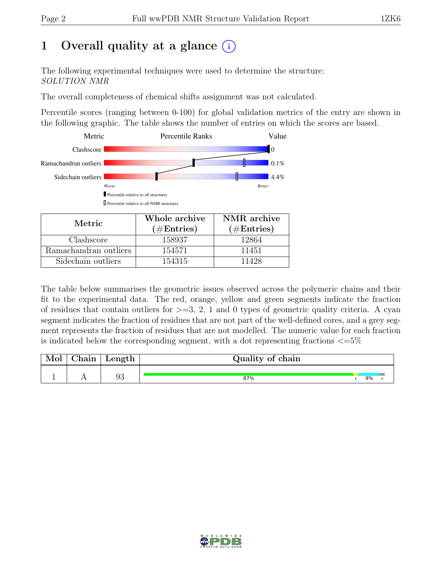# 1 Overall quality at a glance  $(i)$

The following experimental techniques were used to determine the structure: SOLUTION NMR

The overall completeness of chemical shifts assignment was not calculated.

Percentile scores (ranging between 0-100) for global validation metrics of the entry are shown in the following graphic. The table shows the number of entries on which the scores are based.



| Metric.               | Whole archive | NMR archive   |
|-----------------------|---------------|---------------|
|                       | $(\#Entries)$ | $(\#Entries)$ |
| Clashscore            | 158937        | 12864         |
| Ramachandran outliers | 154571        | 11451         |
| Sidechain outliers    | 154315        | 11428         |

The table below summarises the geometric issues observed across the polymeric chains and their fit to the experimental data. The red, orange, yellow and green segments indicate the fraction of residues that contain outliers for  $>=$  3, 2, 1 and 0 types of geometric quality criteria. A cyan segment indicates the fraction of residues that are not part of the well-defined cores, and a grey segment represents the fraction of residues that are not modelled. The numeric value for each fraction is indicated below the corresponding segment, with a dot representing fractions  $\epsilon = 5\%$ 

| Mol | $\sim$ 1<br>hain | Length | Quality of chain |    |  |
|-----|------------------|--------|------------------|----|--|
|     |                  | 93     | 87%              | 9% |  |

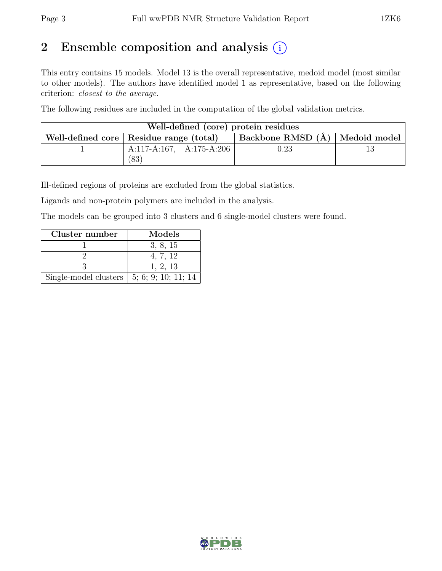# 2 Ensemble composition and analysis  $(i)$

This entry contains 15 models. Model 13 is the overall representative, medoid model (most similar to other models). The authors have identified model 1 as representative, based on the following criterion: closest to the average.

The following residues are included in the computation of the global validation metrics.

| Well-defined (core) protein residues                                            |                          |          |  |  |  |
|---------------------------------------------------------------------------------|--------------------------|----------|--|--|--|
| Backbone RMSD (A)   Medoid model  <br>Well-defined core   Residue range (total) |                          |          |  |  |  |
|                                                                                 | A:117-A:167, A:175-A:206 | $0.23\,$ |  |  |  |
|                                                                                 | ′83                      |          |  |  |  |

Ill-defined regions of proteins are excluded from the global statistics.

Ligands and non-protein polymers are included in the analysis.

The models can be grouped into 3 clusters and 6 single-model clusters were found.

| Cluster number                                            | Models   |
|-----------------------------------------------------------|----------|
|                                                           | 3, 8, 15 |
|                                                           | 4, 7, 12 |
|                                                           | 1, 2, 13 |
| Single-model clusters $\vert 5; 6; 9; 10; 11; 14 \rangle$ |          |

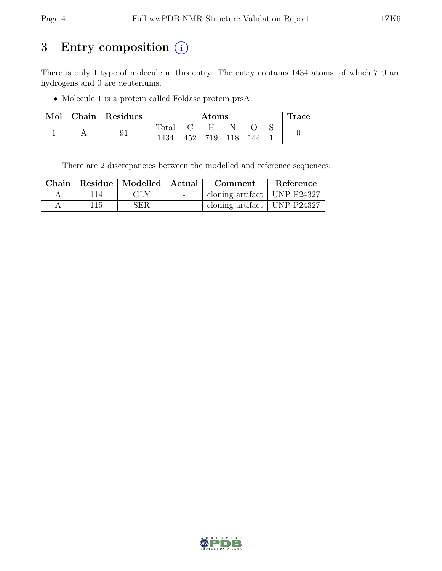# 3 Entry composition (i)

There is only 1 type of molecule in this entry. The entry contains 1434 atoms, of which 719 are hydrogens and 0 are deuteriums.

• Molecule 1 is a protein called Foldase protein prsA.

| Mol | Chain   Residues |                | $\rm{Atoms}$ |     |  |     | <b>Trace</b> |  |
|-----|------------------|----------------|--------------|-----|--|-----|--------------|--|
|     |                  | $_{\rm Total}$ |              |     |  |     |              |  |
|     | 9 <sub>1</sub>   | 1434           | 452          | 719 |  | 144 |              |  |

There are 2 discrepancies between the modelled and reference sequences:

|   |     | Chain   Residue   Modelled   Actual |                          | Comment                       | Reference |
|---|-----|-------------------------------------|--------------------------|-------------------------------|-----------|
| Α |     | GLY                                 | <b>Contract Contract</b> | cloning artifact   UNP P24327 |           |
| Η | 115 | SER                                 | $\overline{\phantom{0}}$ | cloning artifact   UNP P24327 |           |

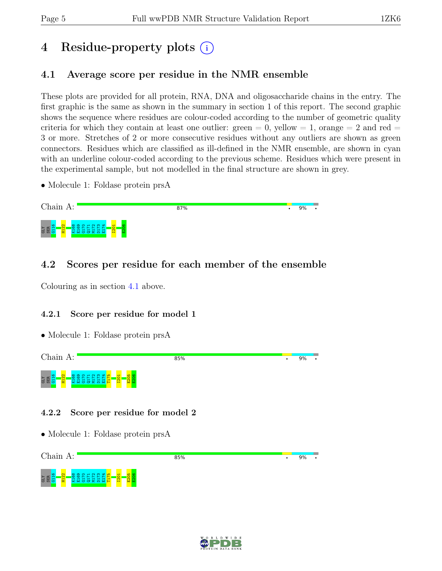# 4 Residue-property plots (i)

# <span id="page-4-0"></span>4.1 Average score per residue in the NMR ensemble

These plots are provided for all protein, RNA, DNA and oligosaccharide chains in the entry. The first graphic is the same as shown in the summary in section 1 of this report. The second graphic shows the sequence where residues are colour-coded according to the number of geometric quality criteria for which they contain at least one outlier:  $green = 0$ ,  $yellow = 1$ ,  $orange = 2$  and  $red =$ 3 or more. Stretches of 2 or more consecutive residues without any outliers are shown as green connectors. Residues which are classified as ill-defined in the NMR ensemble, are shown in cyan with an underline colour-coded according to the previous scheme. Residues which were present in the experimental sample, but not modelled in the final structure are shown in grey.

• Molecule 1: Foldase protein prsA



# 4.2 Scores per residue for each member of the ensemble

Colouring as in section [4.1](#page-4-0) above.

### 4.2.1 Score per residue for model 1

• Molecule 1: Foldase protein prsA



### 4.2.2 Score per residue for model 2



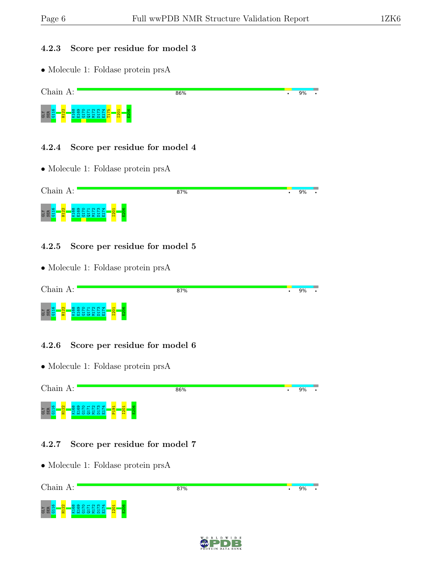#### 4.2.3 Score per residue for model 3

• Molecule 1: Foldase protein prsA



#### 4.2.4 Score per residue for model 4

• Molecule 1: Foldase protein prsA



#### 4.2.5 Score per residue for model 5

• Molecule 1: Foldase protein prsA

| Chain.<br>A:                                                  | 87% | 9% |  |
|---------------------------------------------------------------|-----|----|--|
| $m +$<br>$\blacksquare$<br>ᅱ<br><b>GER</b><br>ပ<br>88288<br>н |     |    |  |

### 4.2.6 Score per residue for model 6

• Molecule 1: Foldase protein prsA



### 4.2.7 Score per residue for model 7



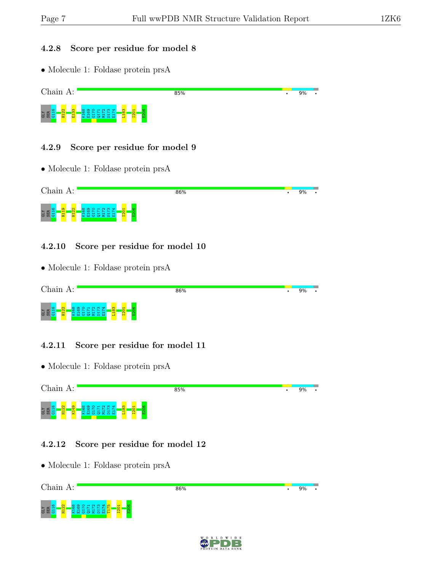#### 4.2.8 Score per residue for model 8

• Molecule 1: Foldase protein prsA



#### 4.2.9 Score per residue for model 9

• Molecule 1: Foldase protein prsA



### 4.2.10 Score per residue for model 10

• Molecule 1: Foldase protein prsA

| Chain.<br>A:                                                                                            | 86% | 9% |  |
|---------------------------------------------------------------------------------------------------------|-----|----|--|
| ത<br>$m +$<br>-<br><b>GLY</b><br>SER<br><b>O</b><br>$\infty$<br>$\mathbf{H}$<br>∼<br>$\sim$<br>$\sigma$ |     |    |  |

### 4.2.11 Score per residue for model 11

• Molecule 1: Foldase protein prsA



### 4.2.12 Score per residue for model 12



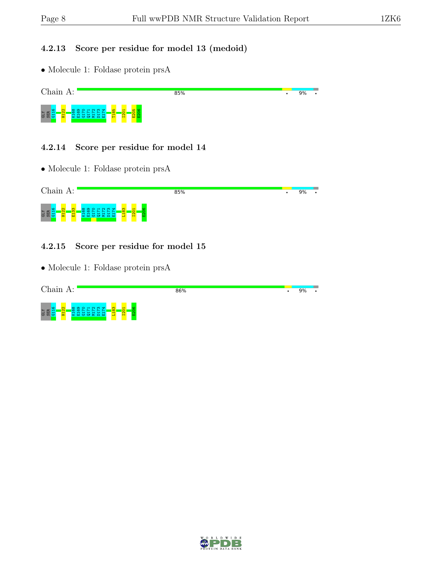#### 4.2.13 Score per residue for model 13 (medoid)

• Molecule 1: Foldase protein prsA



#### 4.2.14 Score per residue for model 14

• Molecule 1: Foldase protein prsA



#### 4.2.15 Score per residue for model 15

| Chain<br>A:                                                                                                                                                    | 86% | 9% | $\bullet$ |
|----------------------------------------------------------------------------------------------------------------------------------------------------------------|-----|----|-----------|
| L <sub>183</sub><br><b>KO</b><br>$\mathbf{\Omega}$<br>. .<br>$\frac{1}{201}$<br><b>SEE</b><br>$\sim$<br>~~<br>$\sim$<br>$\circ$<br>œ<br>- 60<br><b>TV</b><br>ಾ |     |    |           |

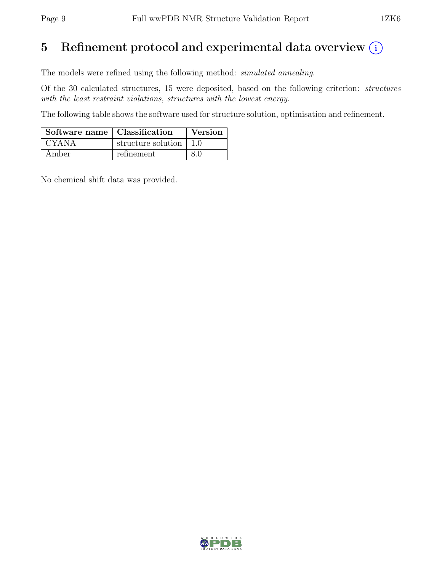# 5 Refinement protocol and experimental data overview  $(i)$

The models were refined using the following method: simulated annealing.

Of the 30 calculated structures, 15 were deposited, based on the following criterion: structures with the least restraint violations, structures with the lowest energy.

The following table shows the software used for structure solution, optimisation and refinement.

| Software name   Classification |                          | Version |
|--------------------------------|--------------------------|---------|
| <b>CYANA</b>                   | structure solution   1.0 |         |
| Amber                          | refinement               | 80      |

No chemical shift data was provided.

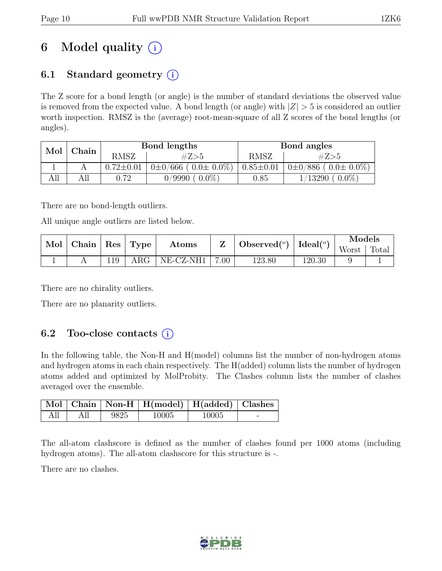# 6 Model quality  $(i)$

# 6.1 Standard geometry  $(i)$

The Z score for a bond length (or angle) is the number of standard deviations the observed value is removed from the expected value. A bond length (or angle) with  $|Z| > 5$  is considered an outlier worth inspection. RMSZ is the (average) root-mean-square of all Z scores of the bond lengths (or angles).

| Mol | Chain | Bond lengths    |                               | Bond angles     |                                     |  |
|-----|-------|-----------------|-------------------------------|-----------------|-------------------------------------|--|
|     |       | <b>RMSZ</b>     | #Z>5                          | RMSZ            | #Z>5                                |  |
|     |       | $0.72 \pm 0.01$ | $0\pm0/666$ ( $0.0\pm0.0\%$ ) | $0.85 \pm 0.01$ | $(0.0 \pm 0.0\%)$<br>$0\pm 0/886$ ( |  |
| AП  | All   | 0.72            | $0.0\%$<br>0/9990             | $0.85\,$        | $0.0\%$<br>13290                    |  |

There are no bond-length outliers.

All unique angle outliers are listed below.

| Mol |  | Chain<br>Observed $(^\circ)$<br>Type<br>$\perp$ Res<br>Atoms |            | $Ideal({}^o)$ | Models |        |        |       |       |
|-----|--|--------------------------------------------------------------|------------|---------------|--------|--------|--------|-------|-------|
|     |  |                                                              |            |               |        |        |        | Worst | Total |
|     |  |                                                              | $\rm{ARG}$ | NE-CZ-NH1     | 7.00   | 123.80 | 120.30 |       |       |

There are no chirality outliers.

There are no planarity outliers.

# 6.2 Too-close contacts  $(i)$

In the following table, the Non-H and H(model) columns list the number of non-hydrogen atoms and hydrogen atoms in each chain respectively. The H(added) column lists the number of hydrogen atoms added and optimized by MolProbity. The Clashes column lists the number of clashes averaged over the ensemble.

|     |      | Mol   Chain   Non-H   H(model)   H(added)   Clashes |       |  |
|-----|------|-----------------------------------------------------|-------|--|
| All | 9825 | 10005                                               | 10005 |  |

The all-atom clashscore is defined as the number of clashes found per 1000 atoms (including hydrogen atoms). The all-atom clashscore for this structure is -.

There are no clashes.

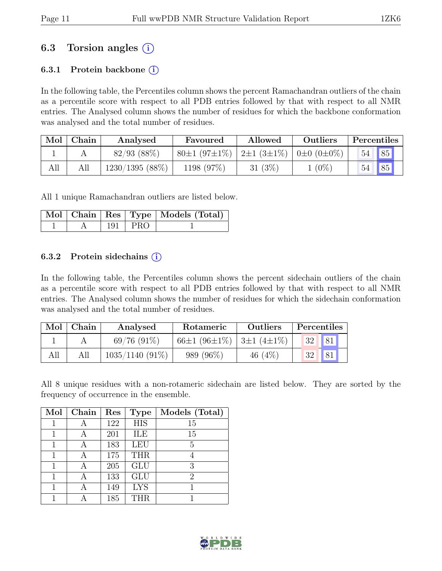# 6.3 Torsion angles  $(i)$

### 6.3.1 Protein backbone  $(i)$

In the following table, the Percentiles column shows the percent Ramachandran outliers of the chain as a percentile score with respect to all PDB entries followed by that with respect to all NMR entries. The Analysed column shows the number of residues for which the backbone conformation was analysed and the total number of residues.

|     | Mol   Chain | Analysed          | Outliers<br>Allowed<br>Favoured                                           |            | Percentiles |    |                |
|-----|-------------|-------------------|---------------------------------------------------------------------------|------------|-------------|----|----------------|
|     |             | $82/93$ $(88\%)$  | $80\pm1$ (97 $\pm1\%$ )   2 $\pm1$ (3 $\pm1\%$ )   0 $\pm0$ (0 $\pm0\%$ ) |            |             | 54 | 85             |
| All |             | $1230/1395(88\%)$ | 1198 (97%)                                                                | 31 $(3\%)$ | $1(0\%)$    | 54 | $\frac{1}{85}$ |

All 1 unique Ramachandran outliers are listed below.

|  |                   | Mol   Chain   Res   Type   Models (Total) |
|--|-------------------|-------------------------------------------|
|  | $\perp$ 191   PRO |                                           |

#### 6.3.2 Protein side chains  $(i)$

In the following table, the Percentiles column shows the percent sidechain outliers of the chain as a percentile score with respect to all PDB entries followed by that with respect to all NMR entries. The Analysed column shows the number of residues for which the sidechain conformation was analysed and the total number of residues.

| Mol | Chain | Analysed          | Rotameric                 | <b>Outliers</b> |    | Percentiles |
|-----|-------|-------------------|---------------------------|-----------------|----|-------------|
|     |       | $69/76(91\%)$     | 66±1 (96±1%)   3±1 (4±1%) |                 | 32 | 81          |
|     | All   | $1035/1140(91\%)$ | 989 (96\%)                | 46 $(4\%)$      | 32 | 81          |

All 8 unique residues with a non-rotameric sidechain are listed below. They are sorted by the frequency of occurrence in the ensemble.

| Mol | Chain | Res | <b>Type</b> | Models (Total) |
|-----|-------|-----|-------------|----------------|
|     |       | 122 | <b>HIS</b>  | 15             |
|     | А     | 201 | ILE         | 15             |
|     | А     | 183 | LEU         | $\overline{5}$ |
| 1   | А     | 175 | <b>THR</b>  | 4              |
|     | А     | 205 | GLU         | 3              |
|     |       | 133 | <b>GLU</b>  | $\overline{2}$ |
|     |       | 149 | <b>LYS</b>  |                |
|     |       | 185 | <b>THR</b>  |                |

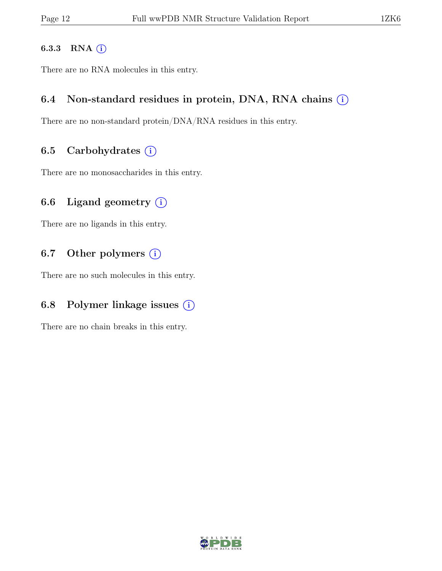#### 6.3.3 RNA  $(i)$

There are no RNA molecules in this entry.

## 6.4 Non-standard residues in protein, DNA, RNA chains  $(i)$

There are no non-standard protein/DNA/RNA residues in this entry.

## 6.5 Carbohydrates  $(i)$

There are no monosaccharides in this entry.

# 6.6 Ligand geometry  $(i)$

There are no ligands in this entry.

# 6.7 Other polymers  $(i)$

There are no such molecules in this entry.

## 6.8 Polymer linkage issues  $(i)$

There are no chain breaks in this entry.